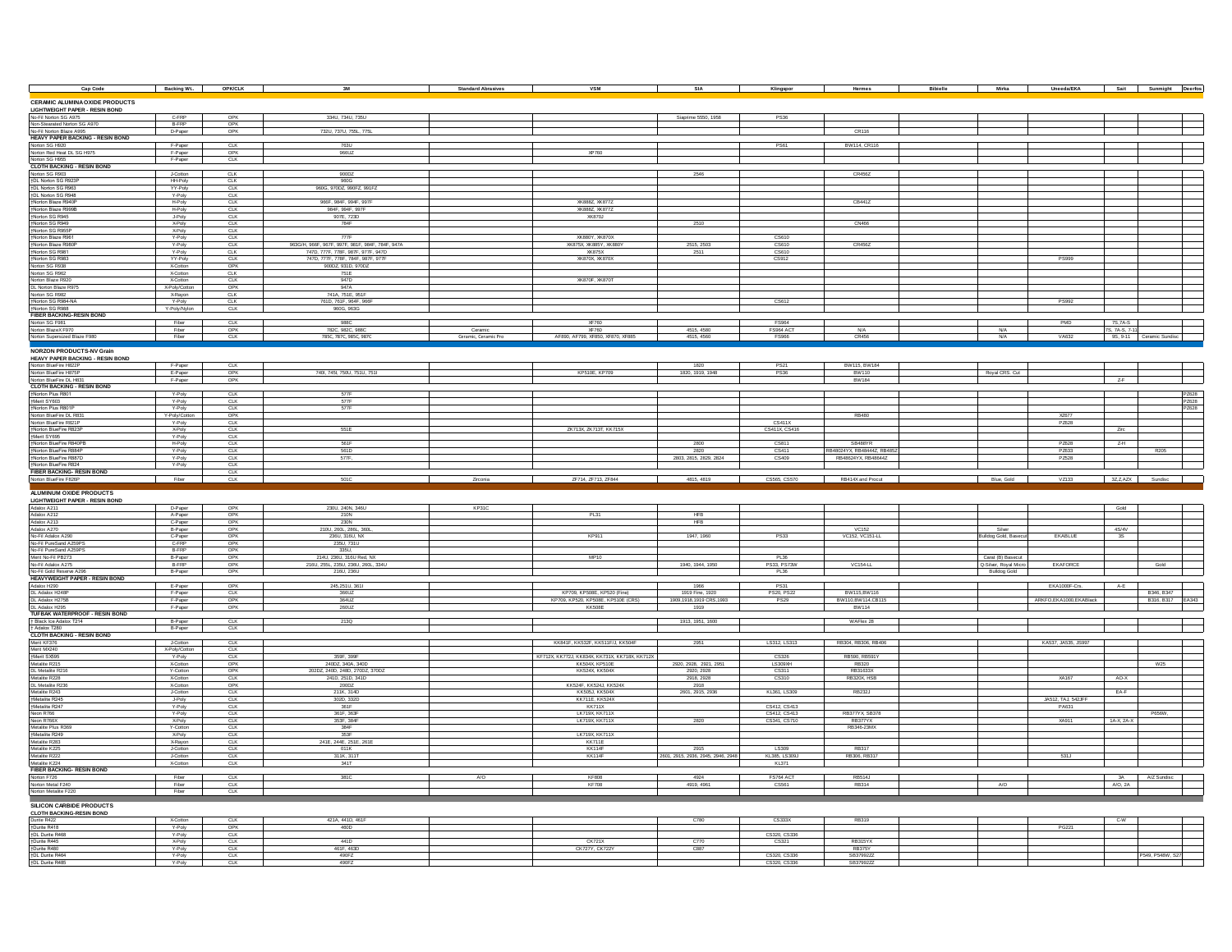| Cap Code                                                                                | Backing Wt. 6PK/CLK       |                          | 3M                                                       | <b>Standard Abrasives</b> | VSM                                                          | SIA                                | Klingspor                    | Hermes                       | Bibielle |                                              | Mirka   Uneeda/EKA   Sait   Sunmight Deerfos |                            |                         |
|-----------------------------------------------------------------------------------------|---------------------------|--------------------------|----------------------------------------------------------|---------------------------|--------------------------------------------------------------|------------------------------------|------------------------------|------------------------------|----------|----------------------------------------------|----------------------------------------------|----------------------------|-------------------------|
|                                                                                         |                           |                          |                                                          |                           |                                                              |                                    |                              |                              |          |                                              |                                              |                            |                         |
| <b>CERAMIC ALUMINA OXIDE PRODUCTS</b>                                                   |                           |                          |                                                          |                           |                                                              |                                    |                              |                              |          |                                              |                                              |                            |                         |
| LIGHTWEIGHT PAPER - RESIN BOND<br>No-Fil Norton SG A975<br>Non-Stearated Norton SG A970 | C-FRP<br>B-FRP            | OPK<br>OPK               | 334U, 734U, 735U                                         |                           |                                                              | Siaprime 5550, 1958                | PS36                         |                              |          |                                              |                                              |                            |                         |
| No-Fil Norton Blaze A995                                                                | D-Paper                   | OPK                      | 732U, 737U, 755L, 775L                                   |                           |                                                              |                                    |                              | CR116                        |          |                                              |                                              |                            |                         |
| HEAVY PAPER BACKING - RESIN BOND<br>Norton SG H920<br>Norton Red Heat DL SG H975        | F-Paper                   | CTK                      | 763U                                                     |                           |                                                              |                                    | <b>PS61</b>                  | BW114, CR116                 |          |                                              |                                              |                            |                         |
|                                                                                         | F-Paper                   | OPK                      | 966UZ                                                    |                           | XP760                                                        |                                    |                              |                              |          |                                              |                                              |                            |                         |
| Norton SG H955<br><b>CLOTH BACKING - RESIN BOND</b>                                     | F-Paper                   | <b>CLK</b>               |                                                          |                           |                                                              |                                    |                              |                              |          |                                              |                                              |                            |                         |
| Norton SG R903                                                                          | J-Cotton                  | <b>CLK</b>               | 90007                                                    |                           |                                                              | 2546                               |                              | CR456Z                       |          |                                              |                                              |                            |                         |
| †DL Norton SG R923P<br>+DL Norton SG R963                                               | HH-Poly<br>YY-Poly        | <b>CLK</b><br><b>CLK</b> | 960G<br>960G, 970DZ, 990FZ, 991FZ                        |                           |                                                              |                                    |                              |                              |          |                                              |                                              |                            |                         |
| <b>†DL Norton SG R948</b>                                                               | Y-Poly                    | <b>CLK</b>               |                                                          |                           |                                                              |                                    |                              |                              |          |                                              |                                              |                            |                         |
| Horton Blaze R940F<br>+Norton Blaze R999E                                               | H-Poly<br>H-Poly          | <b>CLK</b><br><b>CLK</b> | 966F, 984F, 994F, 997F<br>984F, 994F, 997F               |                           | XK888Z XK877Z<br>XK888Z XK877Z                               |                                    |                              | CB441Z                       |          |                                              |                                              |                            |                         |
| †Norton SG R945                                                                         | J-Poly                    | <b>CLK</b>               | 907E, 723D                                               |                           | XK870J                                                       |                                    |                              |                              |          |                                              |                                              |                            |                         |
| †Norton SG R949<br>tNorton SG R955P                                                     | X-Poly<br><b>X-Poly</b>   | CLK<br><b>CLK</b>        | 784F                                                     |                           |                                                              | 2510                               |                              | CN466                        |          |                                              |                                              |                            |                         |
| †Norton Blaze R961<br>+Norton Blaze R980P                                               | Y-Poly<br>Y-Poly          | <b>CLK</b><br>C1K        | 777F<br>963G/H 966F 967F 997F 981F 984F 784F 947A        |                           | XK880Y, XK870X<br>XKR75X XKRR5Y XKRROY                       | 2515, 2503                         | CS610<br>CS610               | CR4567                       |          |                                              |                                              |                            |                         |
| +Norton SG R981                                                                         | Y-Poly                    | <b>CLK</b>               | 747D, 777F, 778F, 987F, 977F, 947D                       |                           | <b>XK875X</b>                                                | 2511                               | CS610                        |                              |          |                                              |                                              |                            |                         |
| †Norton SG R983<br>Norton SG R938                                                       | YY-Poly<br>X-Cotton       | <b>CLK</b><br>OPK        | 747D, 777F, 778F, 784F, 987F, 977F<br>900DZ, 931D, 970DZ |                           | XK870X XK870X                                                |                                    | CS912                        |                              |          |                                              | <b>PS999</b>                                 |                            |                         |
| Norton SG R962                                                                          | X-Cotton                  | CLK                      | 751E                                                     |                           |                                                              |                                    |                              |                              |          |                                              |                                              |                            |                         |
| Norton Blaze R920<br>DL Norton Blaze R975                                               | X-Cotton<br>X-Poly/Cotton | <b>CLK</b><br>OPK        | 947D<br>947A                                             |                           | XK870F, XK870T                                               |                                    |                              |                              |          |                                              |                                              |                            |                         |
| Norton SG R982                                                                          | X-Rayon                   | <b>CLK</b>               | 741A, 751E, 951F                                         |                           |                                                              |                                    |                              |                              |          |                                              |                                              |                            |                         |
| +Norton SG R984-NA<br>†Norton SG R988                                                   | Y-Poly<br>Y-Poly/Nylon    | <b>CLK</b><br><b>CLK</b> | 761D, 761F, 964F, 966F<br>960G, 963G                     |                           |                                                              |                                    | CS612                        |                              |          |                                              | <b>PS992</b>                                 |                            |                         |
| <b>FIBER BACKING-RESIN BOND</b>                                                         |                           |                          |                                                          |                           |                                                              |                                    |                              |                              |          |                                              |                                              |                            |                         |
| Norton SG F981<br>Norton BlazeX F970<br>Norton Supersized Blaze F980                    | Fiber<br>Fiber            | <b>CLK</b><br>OPK        | 988C<br>782C, 982C, 988C                                 | Ceramic                   | XF760<br>XF760                                               | 4515, 4580                         | FS964<br>FS964 ACT           | <b>N/A</b>                   |          | <b>N/A</b>                                   | PMD                                          | 7S, 7A-S<br>7S, 7A-S, 7-11 |                         |
|                                                                                         | Fiber                     | <b>CLK</b>               | 785C, 787C, 985C, 987C                                   | Ceramic, Ceramic Pro      | AF890, AF799, XF850, XF870, XF885                            | 4515, 4560                         | FS966                        | CR456                        |          | <b>N/A</b>                                   | VA632                                        |                            | 9S. 9-11 Ceramic Sundis |
| <b>NORZON PRODUCTS-NV Grain</b>                                                         |                           |                          |                                                          |                           |                                                              |                                    |                              |                              |          |                                              |                                              |                            |                         |
| HEAVY PAPER BACKING - RESIN BOND<br>Norton BlueFire H822P                               | F-Paper                   | <b>CLK</b>               |                                                          |                           |                                                              | 1820                               | <b>PS21</b>                  | BW115, BW184                 |          |                                              |                                              |                            |                         |
| Norton BlueFire H875P                                                                   | E-Paper                   | OPK<br>OPK               | 740l, 745l, 750U, 751U, 751I                             |                           | KP510E, KP709                                                | 1820, 1919, 1948                   | <b>PS36</b>                  | <b>BW110</b>                 |          | Royal CRS. Cut                               |                                              | $Z-F$                      |                         |
| Norton BlueFire DL H831<br><b>CLOTH BACKING - RESIN BOND</b>                            | F-Paper                   |                          |                                                          |                           |                                                              |                                    |                              | <b>BW184</b>                 |          |                                              |                                              |                            |                         |
| Morton Plus R801                                                                        | Y-Poly<br>Y-Poly          | <b>CLK</b><br><b>CLK</b> | 577F<br>577F                                             |                           |                                                              |                                    |                              |                              |          |                                              |                                              |                            | PZ628<br>PZ628          |
| +Norton Plus R801P                                                                      | Y-Poly                    | <b>CLK</b>               | 577F                                                     |                           |                                                              |                                    |                              |                              |          |                                              |                                              |                            | PZ628                   |
| Norton BlueFire DL R831<br>Norton BlueFire R821F                                        | Y-Poly/Cotton<br>Y-Poly   | OPK<br><b>CLK</b>        |                                                          |                           |                                                              |                                    | CS411X                       | RB480                        |          |                                              | XZ677<br>PZ628                               |                            |                         |
| †Norton BlueFire R823P                                                                  | <b>X-Poly</b>             | <b>CLK</b>               | 551E                                                     |                           | ZK713X, ZK713T, KK715X                                       |                                    | CS411X CS416                 |                              |          |                                              |                                              | Zirc                       |                         |
| †Merit SY695<br>Norton BlueFire R840PB                                                  | Y-Poly<br>H-Poly          | <b>CLK</b><br><b>CLK</b> | <b>561F</b>                                              |                           |                                                              | 2800                               | CS811                        | SR48RYR                      |          |                                              | P7628                                        | $7-H$                      |                         |
| †Norton BlueFire R884P                                                                  | Y-Poly                    | <b>CLK</b>               | 561D                                                     |                           |                                                              | 2820                               | CS411                        | RB48024YX, RB48444Z, RB485   |          |                                              | PZ633                                        |                            | R205                    |
| +Norton BlueFire R887D<br>†Norton BlueFire R824                                         | Y-Poly<br>Y-Poly          | <b>CLK</b><br><b>CLK</b> | 577F.                                                    |                           |                                                              | 2803, 2815, 2829, 2824             | CS409                        | RB48624YX RB48644Z           |          |                                              | PZ528                                        |                            |                         |
|                                                                                         |                           |                          |                                                          |                           |                                                              |                                    |                              |                              |          |                                              |                                              |                            |                         |
| FIBER BACKING- RESIN BOND                                                               |                           | <b>CLK</b>               |                                                          |                           |                                                              |                                    |                              |                              |          |                                              |                                              |                            |                         |
| Norton BlueFire F826P                                                                   | Fiber                     | <b>CLK</b>               | 501C                                                     | Zirconia                  | ZF714, ZF713, ZF844                                          | 4815, 4819                         | CS565, CS570                 | RB414X and Procut            |          | Blue, Gold                                   | VZ133                                        |                            | 3Z,Z,AZX Sundisc        |
|                                                                                         |                           |                          |                                                          |                           |                                                              |                                    |                              |                              |          |                                              |                                              |                            |                         |
| <b>ALUMINUM OXIDE PRODUCTS<br/>LIGHTWEIGHT PAPER - RESIN BOND</b><br>Adalox A211        | D-Paper                   | OPK                      | 230U, 240N, 346U                                         | KP31C                     |                                                              |                                    |                              |                              |          |                                              |                                              | Gold                       |                         |
| Adalox A212                                                                             | A-Paper                   | OPK                      | 210N                                                     |                           | PL31                                                         | HFB                                |                              |                              |          |                                              |                                              |                            |                         |
| Adalox A213<br>Adalox A270                                                              | C-Paper<br>B-Paper        | OPK<br>OPK               | 230N<br>210U, 260L, 286L, 360L                           |                           |                                                              | <b>HFB</b>                         |                              | <b>VC152</b>                 |          | Silver                                       |                                              | 4S/4V                      |                         |
| No-Fil Adalox A290                                                                      | C-Paper<br>C-FRP          | OPK<br>OPK               | 236U, 316U, NX<br>235U, 731U                             |                           | <b>KP911</b>                                                 | 1947, 1960                         | <b>PS33</b>                  | VC152, VC151-LL              |          | Bulldog Gold, Base                           | EKABLUE                                      | 3S                         |                         |
| No-Fil PureSand A259PS<br>No-Fil PureSand A259PS                                        | B-FRP                     | OPK                      | 335U,                                                    |                           |                                                              |                                    |                              |                              |          |                                              |                                              |                            |                         |
| Merit No-Fil PB273                                                                      | B-Paper<br>B-FRP          | OPK<br>OPK               | 214U, 236U, 316U Red, NX                                 |                           | MP10                                                         | 1940, 1944, 1950                   | PL36                         | <b>VC154-LL</b>              |          | Carat (B) Basecut                            | EKAFORCE                                     |                            | Gold                    |
| No-Fil Adalox A275<br>No-Fil Gold Reserve A296                                          | B-Paper                   | OPK                      | 216U, 255L, 235U, 236U, 260L, 334U<br>216U, 236U         |                           |                                                              |                                    | PS33, PS73W<br>PL36          |                              |          | Q-Silver, Royal Micro<br><b>Buildog Gold</b> |                                              |                            |                         |
| <b>HEAVYWEIGHT PAPER - RESIN BOND</b><br>Adalox H290                                    | E-Paper                   | OPK                      | 245.251U, 361I                                           |                           |                                                              | 1966                               | PS31                         |                              |          |                                              | EKA1000F-Crs.                                | A-E                        |                         |
| DL Adalox H248P                                                                         | F-Paper                   | <b>CLK</b>               | 366UZ                                                    |                           | KP709, KP508E, KP520 (Fine)                                  | 1919 Fine, 1920                    | PS20, PS22                   | BW115, BW116                 |          |                                              |                                              |                            | B346, B347              |
| DL Adalox H275B                                                                         | F-Paper<br>F-Paper        | OPK<br>OPK               | 364UZ<br>260UZ                                           |                           | KP709, KP520, KP508E, KP510E (CRS)<br>KK50RF                 | 1909, 1918, 1919 CRS, 1993<br>1919 | PS29                         | BW110, BW114, CB115<br>RW114 |          |                                              | ARKFO,EKA1000,EKABlack                       |                            | B316, B317 EA343        |
| DL Adalox H295<br>TUFBAK WATERPROOF - RESIN BOND                                        |                           |                          |                                                          |                           |                                                              |                                    |                              |                              |          |                                              |                                              |                            |                         |
| + Black Ice Adalox T214<br>† Adalox T280                                                | B-Paper<br>B-Paper        | CLK<br><b>GIK</b>        | 213Q                                                     |                           |                                                              | 1913, 1951, 1600                   |                              | WAFlex 28                    |          |                                              |                                              |                            |                         |
| <b>CLOTH BACKING - RESIN BOND</b>                                                       |                           |                          |                                                          |                           |                                                              |                                    |                              |                              |          |                                              |                                              |                            |                         |
| Merit KF376<br>Merit MX240                                                              | J-Cotton<br>X-Poly/Cotton | <b>CLK</b><br><b>CLK</b> |                                                          |                           | KK841F, KK532F, KK511F/J, KK504F                             | 2951                               | LS312, LS313                 | RB304, RB306, RB406          |          |                                              | KA537, JA535, JS997                          |                            |                         |
|                                                                                         | Y-Poly<br>X-Cotton        | <b>CLK</b><br>OPK        | 359F, 399F<br>240DZ, 340A, 340D                          |                           | KF712X KK772J, KK834X KK731X KK718X KK712X<br>KK504X, KP510E | 2920, 2928, 2921, 2951             | CS326<br>LS309XH             | RB590, RB591Y<br>RB320       |          |                                              |                                              |                            | W25                     |
| +Merit SX595<br>Metalite R215<br>DL Metalite R216                                       | Y-Cotton                  | OPK                      | 202DZ, 240D, 248D, 270DZ, 370DZ                          |                           | KK524X KK504X                                                | 2920, 2928                         | CS311                        | RB31633X                     |          |                                              |                                              |                            |                         |
| Metalite R228<br>DL Metalite R236                                                       | X-Cotton<br>X-Cotton      | <b>CLK</b><br>OPK        | 241D, 251D, 341D<br>200DZ                                |                           | KK524F, KK524J, KK524X                                       | 2918, 2928<br>2918                 | CS310                        | RB320X HSB                   |          |                                              | XA167                                        | AO-X                       |                         |
| fetalite R243                                                                           | J-Cotton                  | <b>CLK</b>               | 211K, 314D                                               |                           | KK505J, KK504X                                               | 2601, 2915, 2936                   | KL361, LS309                 | RB232J                       |          |                                              |                                              | EA-F                       |                         |
| +Metalite R245<br>†Metalite R247                                                        | J-Poly<br>Y-Poly          | <b>CLK</b><br><b>CLK</b> | 302D, 332D<br>361F                                       |                           | KK711E, KK524X<br><b>KK711X</b>                              |                                    | CS412, CS413                 |                              |          |                                              | JA512, TAJ, 542JFF<br>PA631                  |                            |                         |
| Neon R766<br>Neon R766X                                                                 | Y-Poly                    | C1K<br><b>CLK</b>        | 361F 363F<br>353F, 384F                                  |                           | <b>IK719X KK711X</b><br>LK719X KK711X                        | 2820                               | CS412, CS413<br>CS341, CS710 | RR377YX SR378<br>RB377YX     |          |                                              | XA911                                        |                            | <b>PR56W</b>            |
| Metalite Plus R369                                                                      | <b>X-Poly</b><br>Y-Cotton | <b>CLK</b>               | 384F                                                     |                           |                                                              |                                    |                              | RB346-23MX                   |          |                                              |                                              | 1A-X 2A-X                  |                         |
| †Metalite R249<br>Metalite R283                                                         | X-Poly<br>X-Rayon         | <b>CLK</b><br><b>CLK</b> | 353F<br>241E. 244E. 251E. 261E                           |                           | LK719X, KK711X<br><b>KK711E</b>                              |                                    |                              |                              |          |                                              |                                              |                            |                         |
| Metalite K225                                                                           | J-Cotton                  | <b>CLK</b>               | 011K                                                     |                           | KK114F                                                       | 2915                               | LS309                        | RB317                        |          |                                              |                                              |                            |                         |
| Metalite R222<br>Metalite K224                                                          | J-Cotton<br>X-Cotton      | <b>CLK</b><br><b>CLK</b> | 311K, 311T<br>341T                                       |                           | KK114F                                                       | 2601, 2915, 2936, 2945, 2946,      | KL385, LS309J<br>KL371       | RB306, RB31                  |          |                                              | 531J                                         |                            |                         |
| <b>FIBER BACKING- RESIN BOND</b>                                                        |                           |                          |                                                          |                           |                                                              |                                    |                              |                              |          |                                              |                                              |                            |                         |
| Norton F726                                                                             | Fiber                     | CLK<br>CLK               | 381C                                                     | A/O                       | <b>KF808</b><br><b>KF708</b>                                 | 4924<br>4919, 4961                 | FS764 ACT<br>CS561           | <b>RB514J</b><br>RB314       |          | A/O                                          |                                              | A/O, 2A                    | 3A A/Z Sundisc          |
| Norton Metal F240<br>Norton Metalite F220                                               | Fiber<br>Fiber            | <b>CLK</b>               |                                                          |                           |                                                              |                                    |                              |                              |          |                                              |                                              |                            |                         |
| <b>SILICON CARBIDE PRODUCTS</b>                                                         |                           |                          |                                                          |                           |                                                              |                                    |                              |                              |          |                                              |                                              |                            |                         |
|                                                                                         | X-Cotton                  | <b>CTK</b>               | 421A, 441D, 461F                                         |                           |                                                              | C780                               | CS333X                       | RB319                        |          |                                              |                                              | C-M                        |                         |
| CLOTH BACKING-RESIN BOND<br>Durite R422<br>†Durite R418                                 | Y-Poly                    | OPK                      | 460D                                                     |                           |                                                              |                                    |                              |                              |          |                                              | PG221                                        |                            |                         |
| †DL Durite R468<br>+Durite R445                                                         | Y-Poly<br>X-Poly          | <b>CLK</b><br><b>CLK</b> | 441D                                                     |                           | CK721X                                                       | C770                               | CS320, CS336<br>CS321        | RB315YX                      |          |                                              |                                              |                            |                         |
| Durite R480<br><b>+DL Durite R464</b>                                                   | Y-Poly<br>Y-Poly          | <b>CLK</b><br><b>CLK</b> | 461F, 463D<br>490FZ                                      |                           | CK727Y, CK722Y                                               | C887                               | CS320, CS336                 | RB375Y<br>SB37992ZZ          |          |                                              |                                              |                            | P549, P548W, S2         |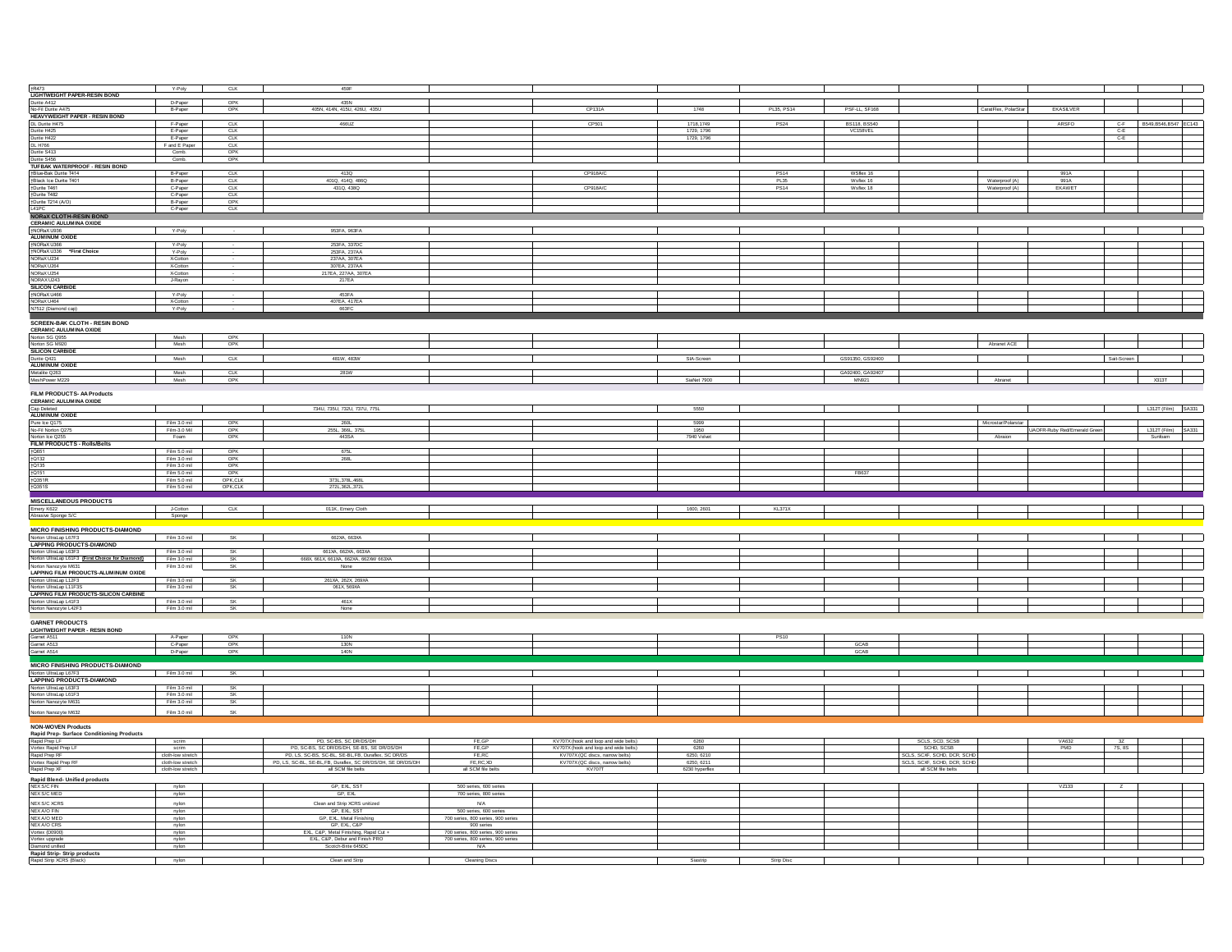| <b>tR473</b><br>LIGHTWEIGHT PAPER-RESIN BOND<br>Durite A412<br>No-Fil Durite A475                                                                                                                                                                                                                                                                                                                                                                                                                                                                                                                                                                                                                                                                                                                                                                                                                                                                                                                                                                                                                                                                                                                                                                    | Y-Poly                                 | CLK                | 459F                                                         |                                    |                                       |                              |               |                        |                             |                      |                              |                            |
|------------------------------------------------------------------------------------------------------------------------------------------------------------------------------------------------------------------------------------------------------------------------------------------------------------------------------------------------------------------------------------------------------------------------------------------------------------------------------------------------------------------------------------------------------------------------------------------------------------------------------------------------------------------------------------------------------------------------------------------------------------------------------------------------------------------------------------------------------------------------------------------------------------------------------------------------------------------------------------------------------------------------------------------------------------------------------------------------------------------------------------------------------------------------------------------------------------------------------------------------------|----------------------------------------|--------------------|--------------------------------------------------------------|------------------------------------|---------------------------------------|------------------------------|---------------|------------------------|-----------------------------|----------------------|------------------------------|----------------------------|
|                                                                                                                                                                                                                                                                                                                                                                                                                                                                                                                                                                                                                                                                                                                                                                                                                                                                                                                                                                                                                                                                                                                                                                                                                                                      | D-Paper                                | OPK                | 435N                                                         |                                    |                                       |                              |               |                        |                             |                      |                              |                            |
|                                                                                                                                                                                                                                                                                                                                                                                                                                                                                                                                                                                                                                                                                                                                                                                                                                                                                                                                                                                                                                                                                                                                                                                                                                                      | B-Paper                                | OPK                | 405N, 414N, 415U, 426U, 435U                                 |                                    | CP131A                                | 1748                         | PL35, PS14    | PSF-LL, SF168          |                             | CaratFlex, PolarStar | EKASLVER                     |                            |
|                                                                                                                                                                                                                                                                                                                                                                                                                                                                                                                                                                                                                                                                                                                                                                                                                                                                                                                                                                                                                                                                                                                                                                                                                                                      |                                        |                    |                                                              |                                    |                                       |                              |               |                        |                             |                      |                              |                            |
| <b>HEAVYWEIGHT PAPER - RESIN BOND</b><br>DL Durite H475<br>Durite H425                                                                                                                                                                                                                                                                                                                                                                                                                                                                                                                                                                                                                                                                                                                                                                                                                                                                                                                                                                                                                                                                                                                                                                               | F-Paper                                | <b>CLK</b>         | 466UZ                                                        |                                    | CP501                                 | 1718, 1749                   | <b>PS24</b>   | BS118, BS540           |                             |                      | ARSFO                        | C-F B549, B546, B547 EC143 |
|                                                                                                                                                                                                                                                                                                                                                                                                                                                                                                                                                                                                                                                                                                                                                                                                                                                                                                                                                                                                                                                                                                                                                                                                                                                      | E-Paper                                | CLK                |                                                              |                                    |                                       | 1729, 1796                   |               | VC158VEL               |                             |                      |                              | $C-E$                      |
| Durite H422                                                                                                                                                                                                                                                                                                                                                                                                                                                                                                                                                                                                                                                                                                                                                                                                                                                                                                                                                                                                                                                                                                                                                                                                                                          | E-Paper<br>F and E Paper               | CTR                |                                                              |                                    |                                       | 1729, 1796                   |               |                        |                             |                      |                              | C-E                        |
| <b>DL H766</b>                                                                                                                                                                                                                                                                                                                                                                                                                                                                                                                                                                                                                                                                                                                                                                                                                                                                                                                                                                                                                                                                                                                                                                                                                                       |                                        |                    |                                                              |                                    |                                       |                              |               |                        |                             |                      |                              |                            |
| Durite S413                                                                                                                                                                                                                                                                                                                                                                                                                                                                                                                                                                                                                                                                                                                                                                                                                                                                                                                                                                                                                                                                                                                                                                                                                                          | Comb.                                  | OPK<br>OPK         |                                                              |                                    |                                       |                              |               |                        |                             |                      |                              |                            |
| Durite S456<br>Dunie 3456<br>TUFBAK WATERPROOF - RESIN BOND<br>TBlue-Bak Durite T414<br>TBluck lee Durite T401<br>TDurite T482<br>TOurite T482<br>TOurite T482<br>ALATOC                                                                                                                                                                                                                                                                                                                                                                                                                                                                                                                                                                                                                                                                                                                                                                                                                                                                                                                                                                                                                                                                             | Comb.                                  |                    |                                                              |                                    |                                       |                              |               |                        |                             |                      |                              |                            |
|                                                                                                                                                                                                                                                                                                                                                                                                                                                                                                                                                                                                                                                                                                                                                                                                                                                                                                                                                                                                                                                                                                                                                                                                                                                      | B-Paper                                | <b>CLK</b>         | 413Q                                                         |                                    | CP918A/C                              |                              | <b>PS14</b>   | WSflex 16              |                             |                      | 991A                         |                            |
|                                                                                                                                                                                                                                                                                                                                                                                                                                                                                                                                                                                                                                                                                                                                                                                                                                                                                                                                                                                                                                                                                                                                                                                                                                                      | B-Paper                                | CLK                | 401Q, 414Q, 486Q                                             |                                    |                                       |                              | PL35          |                        |                             | Waterproof (A)       |                              |                            |
|                                                                                                                                                                                                                                                                                                                                                                                                                                                                                                                                                                                                                                                                                                                                                                                                                                                                                                                                                                                                                                                                                                                                                                                                                                                      | C-Paper                                | <b>CLK</b>         | 431Q, 438Q                                                   |                                    | CP918A/C                              |                              | <b>PS14</b>   | Wsflex 16<br>Wsflex 18 |                             | Waterproof (A)       | 991A<br>EKAWET               |                            |
|                                                                                                                                                                                                                                                                                                                                                                                                                                                                                                                                                                                                                                                                                                                                                                                                                                                                                                                                                                                                                                                                                                                                                                                                                                                      | C-Paper                                | CTK                |                                                              |                                    |                                       |                              |               |                        |                             |                      |                              |                            |
|                                                                                                                                                                                                                                                                                                                                                                                                                                                                                                                                                                                                                                                                                                                                                                                                                                                                                                                                                                                                                                                                                                                                                                                                                                                      | B-Paper                                | OPK                |                                                              |                                    |                                       |                              |               |                        |                             |                      |                              |                            |
| L41PC<br>NORaX CLOTH-RESIN BOND                                                                                                                                                                                                                                                                                                                                                                                                                                                                                                                                                                                                                                                                                                                                                                                                                                                                                                                                                                                                                                                                                                                                                                                                                      | C-Paper                                | <b>CLK</b>         |                                                              |                                    |                                       |                              |               |                        |                             |                      |                              |                            |
|                                                                                                                                                                                                                                                                                                                                                                                                                                                                                                                                                                                                                                                                                                                                                                                                                                                                                                                                                                                                                                                                                                                                                                                                                                                      |                                        |                    |                                                              |                                    |                                       |                              |               |                        |                             |                      |                              |                            |
| CERAMIC AULUMINA OXIDE                                                                                                                                                                                                                                                                                                                                                                                                                                                                                                                                                                                                                                                                                                                                                                                                                                                                                                                                                                                                                                                                                                                                                                                                                               | Y-Poly                                 |                    | 953FA, 963FA                                                 |                                    |                                       |                              |               |                        |                             |                      |                              |                            |
|                                                                                                                                                                                                                                                                                                                                                                                                                                                                                                                                                                                                                                                                                                                                                                                                                                                                                                                                                                                                                                                                                                                                                                                                                                                      |                                        |                    |                                                              |                                    |                                       |                              |               |                        |                             |                      |                              |                            |
|                                                                                                                                                                                                                                                                                                                                                                                                                                                                                                                                                                                                                                                                                                                                                                                                                                                                                                                                                                                                                                                                                                                                                                                                                                                      | Y-Poly                                 |                    | 253FA, 337DC                                                 |                                    |                                       |                              |               |                        |                             |                      |                              |                            |
| <b>ALUMINUM OXIDE<br/> HORAX U386<br/> HORAX U386<br/> NORAX U234<br/> NORAX U284<br/> NORAX U284<br/> NORAX U284<br/> NORAX U284</b>                                                                                                                                                                                                                                                                                                                                                                                                                                                                                                                                                                                                                                                                                                                                                                                                                                                                                                                                                                                                                                                                                                                | Y-Poly                                 |                    | 253FA, 237AA                                                 |                                    |                                       |                              |               |                        |                             |                      |                              |                            |
|                                                                                                                                                                                                                                                                                                                                                                                                                                                                                                                                                                                                                                                                                                                                                                                                                                                                                                                                                                                                                                                                                                                                                                                                                                                      | X-Cotton<br>X-Cotton                   |                    | 237AA, 307EA<br>307EA, 237AA                                 |                                    |                                       |                              |               |                        |                             |                      |                              |                            |
|                                                                                                                                                                                                                                                                                                                                                                                                                                                                                                                                                                                                                                                                                                                                                                                                                                                                                                                                                                                                                                                                                                                                                                                                                                                      | X-Cotton                               |                    | 217EA, 227AA, 307EA                                          |                                    |                                       |                              |               |                        |                             |                      |                              |                            |
|                                                                                                                                                                                                                                                                                                                                                                                                                                                                                                                                                                                                                                                                                                                                                                                                                                                                                                                                                                                                                                                                                                                                                                                                                                                      | J-Rayon                                |                    | 217EA                                                        |                                    |                                       |                              |               |                        |                             |                      |                              |                            |
|                                                                                                                                                                                                                                                                                                                                                                                                                                                                                                                                                                                                                                                                                                                                                                                                                                                                                                                                                                                                                                                                                                                                                                                                                                                      |                                        |                    |                                                              |                                    |                                       |                              |               |                        |                             |                      |                              |                            |
| NORAX U243<br>SILICON CARBIDE<br>TNORaX U466<br>NORaX U464                                                                                                                                                                                                                                                                                                                                                                                                                                                                                                                                                                                                                                                                                                                                                                                                                                                                                                                                                                                                                                                                                                                                                                                           | Y-Poly                                 |                    | 453FA                                                        |                                    |                                       |                              |               |                        |                             |                      |                              |                            |
|                                                                                                                                                                                                                                                                                                                                                                                                                                                                                                                                                                                                                                                                                                                                                                                                                                                                                                                                                                                                                                                                                                                                                                                                                                                      | X-Cotton                               |                    | 407EA, 417EA                                                 |                                    |                                       |                              |               |                        |                             |                      |                              |                            |
| N7512 (Diamond cap)<br>▅                                                                                                                                                                                                                                                                                                                                                                                                                                                                                                                                                                                                                                                                                                                                                                                                                                                                                                                                                                                                                                                                                                                                                                                                                             | Y-Poly                                 |                    | 663FC                                                        |                                    |                                       |                              |               |                        |                             |                      |                              |                            |
| SCREEN-BAK CLOTH - RESIN BOND                                                                                                                                                                                                                                                                                                                                                                                                                                                                                                                                                                                                                                                                                                                                                                                                                                                                                                                                                                                                                                                                                                                                                                                                                        |                                        |                    |                                                              |                                    |                                       |                              |               |                        |                             |                      |                              |                            |
| <b>CERAMIC AULUMINA OXIDE</b>                                                                                                                                                                                                                                                                                                                                                                                                                                                                                                                                                                                                                                                                                                                                                                                                                                                                                                                                                                                                                                                                                                                                                                                                                        |                                        |                    |                                                              |                                    |                                       |                              |               |                        |                             |                      |                              |                            |
| Norton SG Q955<br>Norton SG M920                                                                                                                                                                                                                                                                                                                                                                                                                                                                                                                                                                                                                                                                                                                                                                                                                                                                                                                                                                                                                                                                                                                                                                                                                     | Mesh                                   | OPK                |                                                              |                                    |                                       |                              |               |                        |                             |                      |                              |                            |
|                                                                                                                                                                                                                                                                                                                                                                                                                                                                                                                                                                                                                                                                                                                                                                                                                                                                                                                                                                                                                                                                                                                                                                                                                                                      | Mesh                                   | OPK                |                                                              |                                    |                                       |                              |               |                        |                             | Abranet ACE          |                              |                            |
| SILICON CARBIDE                                                                                                                                                                                                                                                                                                                                                                                                                                                                                                                                                                                                                                                                                                                                                                                                                                                                                                                                                                                                                                                                                                                                                                                                                                      |                                        |                    |                                                              |                                    |                                       |                              |               |                        |                             |                      |                              |                            |
| Durite Q421                                                                                                                                                                                                                                                                                                                                                                                                                                                                                                                                                                                                                                                                                                                                                                                                                                                                                                                                                                                                                                                                                                                                                                                                                                          | Mesh                                   | <b>CLK</b>         | 481W, 483W                                                   |                                    |                                       | SIA-Screen                   |               | GS91350, GS92400       |                             |                      |                              | Sait-Screen                |
|                                                                                                                                                                                                                                                                                                                                                                                                                                                                                                                                                                                                                                                                                                                                                                                                                                                                                                                                                                                                                                                                                                                                                                                                                                                      | Mesh                                   | CLK                | 281W                                                         |                                    |                                       |                              |               | GA92400, GA92407       |                             |                      |                              |                            |
| ALUMINUM OXIDE<br>Metalite Q263<br>MeshPower M229                                                                                                                                                                                                                                                                                                                                                                                                                                                                                                                                                                                                                                                                                                                                                                                                                                                                                                                                                                                                                                                                                                                                                                                                    | Mesh                                   | OPK                |                                                              |                                    |                                       | SiaNet 7900                  |               | <b>MN921</b>           |                             | Abranet              |                              | X313T                      |
|                                                                                                                                                                                                                                                                                                                                                                                                                                                                                                                                                                                                                                                                                                                                                                                                                                                                                                                                                                                                                                                                                                                                                                                                                                                      |                                        |                    |                                                              |                                    |                                       |                              |               |                        |                             |                      |                              |                            |
| FILM PRODUCTS- AA Products                                                                                                                                                                                                                                                                                                                                                                                                                                                                                                                                                                                                                                                                                                                                                                                                                                                                                                                                                                                                                                                                                                                                                                                                                           |                                        |                    |                                                              |                                    |                                       |                              |               |                        |                             |                      |                              |                            |
| <b>CERAMIC AULUMINA OXIDE</b>                                                                                                                                                                                                                                                                                                                                                                                                                                                                                                                                                                                                                                                                                                                                                                                                                                                                                                                                                                                                                                                                                                                                                                                                                        |                                        |                    |                                                              |                                    |                                       |                              |               |                        |                             |                      |                              |                            |
| Cap Deleted<br>ALUMINUM OXIDE<br>Pure Ice Q175                                                                                                                                                                                                                                                                                                                                                                                                                                                                                                                                                                                                                                                                                                                                                                                                                                                                                                                                                                                                                                                                                                                                                                                                       |                                        |                    | 734U, 735U, 732U, 737U, 775L                                 |                                    |                                       | 5550                         |               |                        |                             |                      |                              | L312T (Film) SA331         |
|                                                                                                                                                                                                                                                                                                                                                                                                                                                                                                                                                                                                                                                                                                                                                                                                                                                                                                                                                                                                                                                                                                                                                                                                                                                      |                                        |                    |                                                              |                                    |                                       | 5999                         |               |                        |                             |                      |                              |                            |
|                                                                                                                                                                                                                                                                                                                                                                                                                                                                                                                                                                                                                                                                                                                                                                                                                                                                                                                                                                                                                                                                                                                                                                                                                                                      | Film 3.0 mil<br>Film-3.0 Mil           | OPK<br>OPK         | 260L<br>255L, 366L, 375L                                     |                                    |                                       | 1950                         |               |                        |                             | Microstar/Polarstar  | UAOFR-Ruby Red/Emerald Green | L312T (Film) SA331         |
| No-Fil Norton Q275<br>Norton Ice Q255                                                                                                                                                                                                                                                                                                                                                                                                                                                                                                                                                                                                                                                                                                                                                                                                                                                                                                                                                                                                                                                                                                                                                                                                                | Foam                                   | OPK                | 443SA                                                        |                                    |                                       | 7940 Velvet                  |               |                        |                             | Abraion              |                              | Sunfoam                    |
| FILM PRODUCTS - Rolls/Belts                                                                                                                                                                                                                                                                                                                                                                                                                                                                                                                                                                                                                                                                                                                                                                                                                                                                                                                                                                                                                                                                                                                                                                                                                          |                                        |                    |                                                              |                                    |                                       |                              |               |                        |                             |                      |                              |                            |
|                                                                                                                                                                                                                                                                                                                                                                                                                                                                                                                                                                                                                                                                                                                                                                                                                                                                                                                                                                                                                                                                                                                                                                                                                                                      | Film 5.0 mil                           | OPK                | 675L                                                         |                                    |                                       |                              |               |                        |                             |                      |                              |                            |
|                                                                                                                                                                                                                                                                                                                                                                                                                                                                                                                                                                                                                                                                                                                                                                                                                                                                                                                                                                                                                                                                                                                                                                                                                                                      |                                        |                    |                                                              |                                    |                                       |                              |               |                        |                             |                      |                              |                            |
|                                                                                                                                                                                                                                                                                                                                                                                                                                                                                                                                                                                                                                                                                                                                                                                                                                                                                                                                                                                                                                                                                                                                                                                                                                                      | Film 3.0 mil                           | OPK                | 268L                                                         |                                    |                                       |                              |               |                        |                             |                      |                              |                            |
|                                                                                                                                                                                                                                                                                                                                                                                                                                                                                                                                                                                                                                                                                                                                                                                                                                                                                                                                                                                                                                                                                                                                                                                                                                                      | Film 3.0 mil                           | OPK                |                                                              |                                    |                                       |                              |               |                        |                             |                      |                              |                            |
|                                                                                                                                                                                                                                                                                                                                                                                                                                                                                                                                                                                                                                                                                                                                                                                                                                                                                                                                                                                                                                                                                                                                                                                                                                                      | Film 5.0 mil                           | OPK                |                                                              |                                    |                                       |                              |               | FB637                  |                             |                      |                              |                            |
|                                                                                                                                                                                                                                                                                                                                                                                                                                                                                                                                                                                                                                                                                                                                                                                                                                                                                                                                                                                                                                                                                                                                                                                                                                                      | Film 5.0 mil<br>Film 5.0 mil           | OPK,CLK<br>OPK,CLK | 373L, 378L, 468L<br>272L, 362L, 372L                         |                                    |                                       |                              |               |                        |                             |                      |                              |                            |
|                                                                                                                                                                                                                                                                                                                                                                                                                                                                                                                                                                                                                                                                                                                                                                                                                                                                                                                                                                                                                                                                                                                                                                                                                                                      |                                        |                    |                                                              |                                    |                                       |                              |               |                        |                             |                      |                              |                            |
|                                                                                                                                                                                                                                                                                                                                                                                                                                                                                                                                                                                                                                                                                                                                                                                                                                                                                                                                                                                                                                                                                                                                                                                                                                                      |                                        |                    |                                                              |                                    |                                       |                              |               |                        |                             |                      |                              |                            |
|                                                                                                                                                                                                                                                                                                                                                                                                                                                                                                                                                                                                                                                                                                                                                                                                                                                                                                                                                                                                                                                                                                                                                                                                                                                      | J-Cotton                               | <b>CLK</b>         | 011K, Emery Cloth                                            |                                    |                                       | 1600, 2601                   | <b>KL371X</b> |                        |                             |                      |                              |                            |
|                                                                                                                                                                                                                                                                                                                                                                                                                                                                                                                                                                                                                                                                                                                                                                                                                                                                                                                                                                                                                                                                                                                                                                                                                                                      | Sponge                                 |                    |                                                              |                                    |                                       |                              |               |                        |                             |                      |                              |                            |
|                                                                                                                                                                                                                                                                                                                                                                                                                                                                                                                                                                                                                                                                                                                                                                                                                                                                                                                                                                                                                                                                                                                                                                                                                                                      |                                        |                    |                                                              |                                    |                                       |                              |               |                        |                             |                      |                              |                            |
|                                                                                                                                                                                                                                                                                                                                                                                                                                                                                                                                                                                                                                                                                                                                                                                                                                                                                                                                                                                                                                                                                                                                                                                                                                                      | Film 3.0 mil                           | SK                 | 662XA, 663XA                                                 |                                    |                                       |                              |               |                        |                             |                      |                              |                            |
|                                                                                                                                                                                                                                                                                                                                                                                                                                                                                                                                                                                                                                                                                                                                                                                                                                                                                                                                                                                                                                                                                                                                                                                                                                                      |                                        |                    |                                                              |                                    |                                       |                              |               |                        |                             |                      |                              |                            |
|                                                                                                                                                                                                                                                                                                                                                                                                                                                                                                                                                                                                                                                                                                                                                                                                                                                                                                                                                                                                                                                                                                                                                                                                                                                      | Film 3.0 mil                           | SK                 | 661XA, 662XA, 663XA                                          |                                    |                                       |                              |               |                        |                             |                      |                              |                            |
|                                                                                                                                                                                                                                                                                                                                                                                                                                                                                                                                                                                                                                                                                                                                                                                                                                                                                                                                                                                                                                                                                                                                                                                                                                                      | Film 3.0 mil                           | SK.                | 668X 661X 661XA 662XA 662XA 663XA<br>None                    |                                    |                                       |                              |               |                        |                             |                      |                              |                            |
|                                                                                                                                                                                                                                                                                                                                                                                                                                                                                                                                                                                                                                                                                                                                                                                                                                                                                                                                                                                                                                                                                                                                                                                                                                                      | Film 3.0 mil                           | SK                 |                                                              |                                    |                                       |                              |               |                        |                             |                      |                              |                            |
|                                                                                                                                                                                                                                                                                                                                                                                                                                                                                                                                                                                                                                                                                                                                                                                                                                                                                                                                                                                                                                                                                                                                                                                                                                                      | Film 3.0 mil                           | SK                 | 261XA, 262X, 269XA                                           |                                    |                                       |                              |               |                        |                             |                      |                              |                            |
|                                                                                                                                                                                                                                                                                                                                                                                                                                                                                                                                                                                                                                                                                                                                                                                                                                                                                                                                                                                                                                                                                                                                                                                                                                                      | Film 3.0 mil                           | <b>SK</b>          | 061X 569XA                                                   |                                    |                                       |                              |               |                        |                             |                      |                              |                            |
|                                                                                                                                                                                                                                                                                                                                                                                                                                                                                                                                                                                                                                                                                                                                                                                                                                                                                                                                                                                                                                                                                                                                                                                                                                                      |                                        |                    |                                                              |                                    |                                       |                              |               |                        |                             |                      |                              |                            |
|                                                                                                                                                                                                                                                                                                                                                                                                                                                                                                                                                                                                                                                                                                                                                                                                                                                                                                                                                                                                                                                                                                                                                                                                                                                      | Film 3.0 mil                           | SK                 | 461X                                                         |                                    |                                       |                              |               |                        |                             |                      |                              |                            |
|                                                                                                                                                                                                                                                                                                                                                                                                                                                                                                                                                                                                                                                                                                                                                                                                                                                                                                                                                                                                                                                                                                                                                                                                                                                      | Film 3.0 mil                           | <b>SK</b>          | None                                                         |                                    |                                       |                              |               |                        |                             |                      |                              |                            |
|                                                                                                                                                                                                                                                                                                                                                                                                                                                                                                                                                                                                                                                                                                                                                                                                                                                                                                                                                                                                                                                                                                                                                                                                                                                      |                                        |                    |                                                              |                                    |                                       |                              |               |                        |                             |                      |                              |                            |
|                                                                                                                                                                                                                                                                                                                                                                                                                                                                                                                                                                                                                                                                                                                                                                                                                                                                                                                                                                                                                                                                                                                                                                                                                                                      |                                        |                    |                                                              |                                    |                                       |                              |               |                        |                             |                      |                              |                            |
|                                                                                                                                                                                                                                                                                                                                                                                                                                                                                                                                                                                                                                                                                                                                                                                                                                                                                                                                                                                                                                                                                                                                                                                                                                                      | A-Paper                                |                    | 110N                                                         |                                    |                                       |                              | <b>PS10</b>   |                        |                             |                      |                              |                            |
|                                                                                                                                                                                                                                                                                                                                                                                                                                                                                                                                                                                                                                                                                                                                                                                                                                                                                                                                                                                                                                                                                                                                                                                                                                                      | C-Paper                                | OPK<br>OPK<br>OPK  | 130N<br>140N                                                 |                                    |                                       |                              |               | GCAB<br>COAR           |                             |                      |                              |                            |
|                                                                                                                                                                                                                                                                                                                                                                                                                                                                                                                                                                                                                                                                                                                                                                                                                                                                                                                                                                                                                                                                                                                                                                                                                                                      | D-Paper                                |                    |                                                              |                                    |                                       |                              |               |                        |                             |                      |                              |                            |
|                                                                                                                                                                                                                                                                                                                                                                                                                                                                                                                                                                                                                                                                                                                                                                                                                                                                                                                                                                                                                                                                                                                                                                                                                                                      |                                        |                    |                                                              |                                    |                                       |                              |               |                        |                             |                      |                              |                            |
|                                                                                                                                                                                                                                                                                                                                                                                                                                                                                                                                                                                                                                                                                                                                                                                                                                                                                                                                                                                                                                                                                                                                                                                                                                                      | Film 3.0 mil                           | SK                 |                                                              |                                    |                                       |                              |               |                        |                             |                      |                              |                            |
|                                                                                                                                                                                                                                                                                                                                                                                                                                                                                                                                                                                                                                                                                                                                                                                                                                                                                                                                                                                                                                                                                                                                                                                                                                                      |                                        |                    |                                                              |                                    |                                       |                              |               |                        |                             |                      |                              |                            |
|                                                                                                                                                                                                                                                                                                                                                                                                                                                                                                                                                                                                                                                                                                                                                                                                                                                                                                                                                                                                                                                                                                                                                                                                                                                      | Film 3.0 mil                           | <b>SK</b>          |                                                              |                                    |                                       |                              |               |                        |                             |                      |                              |                            |
|                                                                                                                                                                                                                                                                                                                                                                                                                                                                                                                                                                                                                                                                                                                                                                                                                                                                                                                                                                                                                                                                                                                                                                                                                                                      | Film 3.0 mil                           | <b>SK</b>          |                                                              |                                    |                                       |                              |               |                        |                             |                      |                              |                            |
|                                                                                                                                                                                                                                                                                                                                                                                                                                                                                                                                                                                                                                                                                                                                                                                                                                                                                                                                                                                                                                                                                                                                                                                                                                                      | Film 3.0 mil                           | SK                 |                                                              |                                    |                                       |                              |               |                        |                             |                      |                              |                            |
|                                                                                                                                                                                                                                                                                                                                                                                                                                                                                                                                                                                                                                                                                                                                                                                                                                                                                                                                                                                                                                                                                                                                                                                                                                                      | Film 3.0 mil                           | SK                 |                                                              |                                    |                                       |                              |               |                        |                             |                      |                              |                            |
|                                                                                                                                                                                                                                                                                                                                                                                                                                                                                                                                                                                                                                                                                                                                                                                                                                                                                                                                                                                                                                                                                                                                                                                                                                                      |                                        |                    |                                                              |                                    |                                       |                              |               |                        |                             |                      |                              |                            |
|                                                                                                                                                                                                                                                                                                                                                                                                                                                                                                                                                                                                                                                                                                                                                                                                                                                                                                                                                                                                                                                                                                                                                                                                                                                      |                                        |                    |                                                              |                                    |                                       |                              |               |                        |                             |                      |                              |                            |
|                                                                                                                                                                                                                                                                                                                                                                                                                                                                                                                                                                                                                                                                                                                                                                                                                                                                                                                                                                                                                                                                                                                                                                                                                                                      | scrim                                  |                    | PD, SC-BS, SC DR/DS/DH                                       | FE,GP                              | KV707X (hook and loop and wide belts) | 6260                         |               |                        | SCLS, SCD, SCSB             |                      | VA632                        | 3Z                         |
|                                                                                                                                                                                                                                                                                                                                                                                                                                                                                                                                                                                                                                                                                                                                                                                                                                                                                                                                                                                                                                                                                                                                                                                                                                                      | scrim                                  |                    | PD, SC-BS, SC DR/DS/DH, SE-BS, SE DR/DS/DH                   | FE, GP                             | KV707X (hook and loop and wide belts) | 6260                         |               |                        | SCHD, SCSB                  |                      | PMD                          | 7S, 8S                     |
|                                                                                                                                                                                                                                                                                                                                                                                                                                                                                                                                                                                                                                                                                                                                                                                                                                                                                                                                                                                                                                                                                                                                                                                                                                                      | cloth-low stretch                      |                    | PD, LS, SC-BS, SC-BL, SE-BL, FB, Duraflex, SC DR/DS          | FE,RC                              | KV707X (QC discs, narrow belts)       | 6250, 6210                   |               |                        | SCLS, SCXF, SCHD, DCR, SCHD |                      |                              |                            |
|                                                                                                                                                                                                                                                                                                                                                                                                                                                                                                                                                                                                                                                                                                                                                                                                                                                                                                                                                                                                                                                                                                                                                                                                                                                      | cloth-low stretch<br>cloth-low stretch |                    | PD, LS, SC-BL, SE-BL, FB, Duraflex, SC DR/DS/DH, SE DR/DS/DH | FE, RC, XD                         |                                       | 6250, 6211<br>6230 hvnerfier |               |                        | SCLS, SCXF, SCHD, DCR, SCHD |                      |                              |                            |
|                                                                                                                                                                                                                                                                                                                                                                                                                                                                                                                                                                                                                                                                                                                                                                                                                                                                                                                                                                                                                                                                                                                                                                                                                                                      |                                        |                    | all SCM file belts                                           | all SCM file belts                 | KV707X (QC discs, narrow belts)       |                              |               |                        | all SCM file belts          |                      |                              |                            |
|                                                                                                                                                                                                                                                                                                                                                                                                                                                                                                                                                                                                                                                                                                                                                                                                                                                                                                                                                                                                                                                                                                                                                                                                                                                      |                                        |                    |                                                              |                                    |                                       |                              |               |                        |                             |                      |                              |                            |
|                                                                                                                                                                                                                                                                                                                                                                                                                                                                                                                                                                                                                                                                                                                                                                                                                                                                                                                                                                                                                                                                                                                                                                                                                                                      | nylon                                  |                    | GP, EXL, SST                                                 | 500 series, 600 series             |                                       |                              |               |                        |                             |                      | VZ133                        | Z                          |
|                                                                                                                                                                                                                                                                                                                                                                                                                                                                                                                                                                                                                                                                                                                                                                                                                                                                                                                                                                                                                                                                                                                                                                                                                                                      | nylon                                  |                    | GP, EXL                                                      | 700 series, 800 series             |                                       |                              |               |                        |                             |                      |                              |                            |
|                                                                                                                                                                                                                                                                                                                                                                                                                                                                                                                                                                                                                                                                                                                                                                                                                                                                                                                                                                                                                                                                                                                                                                                                                                                      | nylon                                  |                    | Clean and Strip XCRS unitized<br>GP. EXL. SST                | N/A<br>500 series, 600 series      |                                       |                              |               |                        |                             |                      |                              |                            |
|                                                                                                                                                                                                                                                                                                                                                                                                                                                                                                                                                                                                                                                                                                                                                                                                                                                                                                                                                                                                                                                                                                                                                                                                                                                      | nylon<br>nylon                         |                    | GP, EXL, Metal Finishing                                     | 700 series, 800 series, 900 series |                                       |                              |               |                        |                             |                      |                              |                            |
| †Q651<br>†Q132<br>†Q135<br>†Q151<br>1Q351R<br>1Q351S<br><b>MISCELLANEOUS PRODUCTS</b><br>Emery K622<br>Abrasive Sponge S/<br>MICRO FINISHING PRODUCTS-DIAMOND<br>Norton UltraLap L67F3<br>North Untariap Lorry<br>LAPPING PRODUCTS-DIAMOND<br>Norton Ultral.ap L63F3<br>Norton Ultral.ap L61F3 (First Choice for Diamond)<br>Norton Nanozyte M631<br>NORDI REINA PRODUCTS-ALUMINUM OXIDE<br>LAPPING FILM PRODUCTS-ALUMINUM OXIDE<br>Norto Ultridap L17F3<br>LAPPING FILM PRODUCTS-SILICON CARBINE<br>LAPPING FILM PRODUCTS-SILICON CARBINE<br>Norton Ultridap L41F3<br>Norton Nanozyte L42F3<br><b>GARNET PRODUCTS</b><br>LIGHTWEIGHT PAPER - RESIN BOND<br>Gamet A511<br>Gamet A513<br>Gamet A514<br>MICRO FINISHING PRODUCTS-DIAMOND<br>Norton UltraLap L67F3<br><b>LAPPING PRODUCTS-DIAMOND</b><br>Norton UltraLap L63F3<br>Norton UltraLap L61F3<br>Norton Nanozyte M631<br>Norton Nanozyte M632<br><b>NON-WOVEN Products</b><br><b>NOM-WOVEN Products<br/>Rapid Prep-Surface Conditioning Products<br/>Rapid Prep LF<br/>Votex Rapid Prep LF<br/>Rapid Prep RF<br/>Votex Rapid Prep RF<br/>Rapid Prep XF</b><br>Rapid Blend- Unified products<br>NEX S/C FIN<br>NEX S/C MED<br><b>NEX S/C XCRS</b><br>NEX A/O FIN<br>NEX A/O MED<br>NEX A/O CRS | nylon                                  |                    | GP, EXL, C&P                                                 | 900 series                         |                                       |                              |               |                        |                             |                      |                              |                            |
| Vortex (D0900)                                                                                                                                                                                                                                                                                                                                                                                                                                                                                                                                                                                                                                                                                                                                                                                                                                                                                                                                                                                                                                                                                                                                                                                                                                       | nylon                                  |                    | EXL, C&P, Metal Finishing, Rapid Cut +                       | 700 series, 800 series, 900 series |                                       |                              |               |                        |                             |                      |                              |                            |
| Vortex upgrade                                                                                                                                                                                                                                                                                                                                                                                                                                                                                                                                                                                                                                                                                                                                                                                                                                                                                                                                                                                                                                                                                                                                                                                                                                       | nylon                                  |                    | EXL, C&P, Debur and Finish PRO                               | 700 series, 800 series, 900 series |                                       |                              |               |                        |                             |                      |                              |                            |
| Rapid Strip-Strip products                                                                                                                                                                                                                                                                                                                                                                                                                                                                                                                                                                                                                                                                                                                                                                                                                                                                                                                                                                                                                                                                                                                                                                                                                           | nylon                                  |                    | Scotch-Brite 645DC                                           | <b>N/A</b>                         |                                       |                              |               |                        |                             |                      |                              |                            |